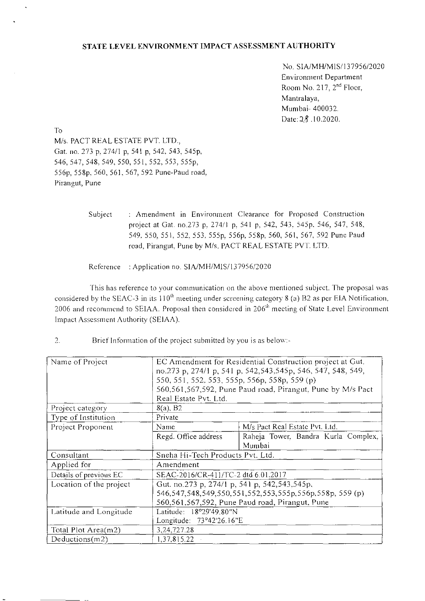### STATE LEVEL ENVIRONMENT IMPACT ASSESSMENT AUTHORITY

No. SIA/MH/MIS/137956/2020 Environment Department Room No. 217,  $2<sup>nd</sup>$  Floor, Mantralaya, Mumbai- 400032. Date: 28 .10.2020.

To M/s. PACT REAL ESTATE PVT. LTD., Gat. no. *273* p. 274/1 p, 541 p, 542, 543. 545p, 546, 547, 548. 549, 550, 551, 552, 553, 555p, 556k 5S8p, 560, 561, 567, 592 Pune-Paud road, Pirangut, Pune

> Subject : Amendment in Environment Clearance for Proposed Construction project at Gat. no.273 p. 274/1 p. 541 p. 542, 543. 545p. 546, 547, 548, 549. 550, 551. 552, *553.* 555p. 556p, 558p, 560, 561, 567, 592 Pune Paud road, Pirangut, Pune by M/s. PACT REAL ESTATE PVT. LTD.

Reference : Application no. SIA/MH/MIS/137956/2020

This has reference to your communication on the above mentioned subject. The proposal was considered by the SEAC-3 in its  $110^{th}$  meeting under screening category 8 (a) B2 as per EIA Notification. 2006 and recommend to SEIAA. Proposal then considered in 206<sup>th</sup> meeting of State Level Environment Impact Assessment Authority (SEIAA).

 $2.$ Brief Information of the project submitted by you is as below:-

| Name of Project         | EC Amendment for Residential Construction project at Gut.<br>no.273 p, 274/1 p, 541 p, 542, 543, 545 p, 546, 547, 548, 549,<br>550, 551, 552, 553, 555p, 556p, 558p, 559(p)<br>560,561,567,592, Pune Paud road, Pirangut, Pune by M/s Pact<br>Real Estate Pvt. Ltd. |                                               |  |  |  |  |  |  |
|-------------------------|---------------------------------------------------------------------------------------------------------------------------------------------------------------------------------------------------------------------------------------------------------------------|-----------------------------------------------|--|--|--|--|--|--|
| Project category        | $8(a)$ , B <sub>2</sub>                                                                                                                                                                                                                                             |                                               |  |  |  |  |  |  |
| Type of Institution     | Private                                                                                                                                                                                                                                                             |                                               |  |  |  |  |  |  |
| Project Proponent       | Name                                                                                                                                                                                                                                                                | M/s Pact Real Estate Pvt. Ltd.                |  |  |  |  |  |  |
|                         | Regd. Office address                                                                                                                                                                                                                                                | Raheja Tower, Bandra Kurla Complex,<br>Mumbai |  |  |  |  |  |  |
| Consultant              | Sneha Hi-Tech Products Pvt. Ltd.                                                                                                                                                                                                                                    |                                               |  |  |  |  |  |  |
| Applied for             | Amendment                                                                                                                                                                                                                                                           |                                               |  |  |  |  |  |  |
| Details of previous EC  | SEAC-2016/CR-411/TC-2 dtd 6.01.2017                                                                                                                                                                                                                                 |                                               |  |  |  |  |  |  |
| Location of the project | Gut. no.273 p, 274/1 p, 541 p, 542,543,545p,                                                                                                                                                                                                                        |                                               |  |  |  |  |  |  |
|                         | 546, 547, 548, 549, 550, 551, 552, 553, 555p, 556p, 558p, 559 (p)                                                                                                                                                                                                   |                                               |  |  |  |  |  |  |
|                         | 560,561,567,592, Pune Paud road, Pirangut, Pune                                                                                                                                                                                                                     |                                               |  |  |  |  |  |  |
| Latitude and Longitude  | Latitude: 18°29'49.80"N                                                                                                                                                                                                                                             |                                               |  |  |  |  |  |  |
|                         | Longitude: 73°42'26.16"E                                                                                                                                                                                                                                            |                                               |  |  |  |  |  |  |
| Total Plot Area(m2)     | 3, 24, 727. 28                                                                                                                                                                                                                                                      |                                               |  |  |  |  |  |  |
| Deductions $(m2)$       | 1,37,815.22                                                                                                                                                                                                                                                         |                                               |  |  |  |  |  |  |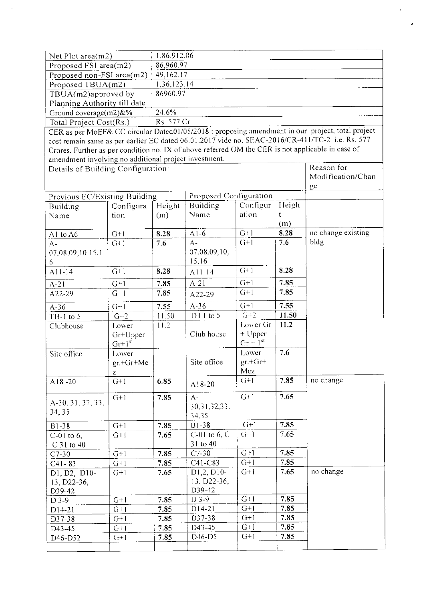| Net Plot area $(m2)$         | 1.86,912.06 |  |  |
|------------------------------|-------------|--|--|
| Proposed FSI area(m2)        | 86,960.97   |  |  |
| Proposed non-FSI area(m2)    | 49,162.17   |  |  |
| Proposed TBUA(m2)            | 1.36,123.14 |  |  |
| TBUA $(m2)$ approved by      | 86960.97    |  |  |
| Planning Authority till date |             |  |  |
| Ground coverage $(m2)$ &%    | 24.6%       |  |  |
| Total Project Cost(Rs.)      | Rs. 577 Cr  |  |  |

CER as per MoEF& CC circular DatedO 1/05/2018 : proposing amendment in our project. total project cost remain same as per earlier EC dated 06.01.2017 vide no. SEAC-2016/CR-41 1/TC-2 i.e. Rs. 577 Crores. Further as per condition no. IX of above referred OM the CER is not applicable in case of amendment involving no additional project investment.

| Details of Building Configuration: | Reason for        |        |                                 |            |       |                    |
|------------------------------------|-------------------|--------|---------------------------------|------------|-------|--------------------|
|                                    | Modification/Chan |        |                                 |            |       |                    |
|                                    | ge                |        |                                 |            |       |                    |
| Previous EC/Existing Building      |                   |        | Proposed Configuration          |            |       |                    |
| Building                           | Configura         | Height | Building                        | Configur   | Heigh |                    |
| Name                               | tion              | (m)    | Name                            | ation      | t     |                    |
|                                    |                   |        |                                 |            | (m)   |                    |
| A1 to $A6$                         | $G+1$             | 8.28   | $A1-6$                          | $G+1$      | 8.28  | no change existing |
| $A -$                              | $(1+1)$           | 7.6    | $A -$                           | $C+1$      | 7.6   | bldg               |
| 07,08,09,10.15,1                   |                   |        | 07,08,09,10,                    |            |       |                    |
| 6                                  |                   |        | 15,16                           |            |       |                    |
| $A11-14$                           | $G+1$             | 8.28   | A11-14                          | $G+1$      | 8.28  |                    |
| $A-21$                             | $G+1$             | 7.85   | $A-21$                          | $G+1$      | 7.85  |                    |
| A22-29                             | $G+1$             | 7.85   | A22-29                          | $G+1$      | 7.85  |                    |
| $A-36$                             | $G+1$             | 7.55   | $A-36$                          | $C+1$      | 7.55  |                    |
| TH-1 to $5$                        | $G+2$             | 11.50  | TH 1 to 5                       | $G+2$      | 11.50 |                    |
| Clubhouse                          | Lower             | 11.2   |                                 | Lower Gr   | 11.2  |                    |
|                                    | Gr+Upper          |        | Club house                      | + Upper    |       |                    |
|                                    | $Gr+1^{st}$       |        |                                 | $Gr + 1st$ |       |                    |
| Site office                        | Lower             |        |                                 | Lower      | 7.6   |                    |
|                                    | $gr.+Gr+Me$       |        | Site office                     | $gr.+Gr+$  |       |                    |
|                                    | z                 |        |                                 | Mez        |       |                    |
| A18-20                             | $G+1$             | 6.85   | A18-20                          | $G+1$      | 7.85  | no change          |
|                                    | $G+1$             | 7.85   | $A -$                           | $G+1$      | 7.65  |                    |
| A-30, 31, 32, 33,                  |                   |        | 30, 31, 32, 33,                 |            |       |                    |
| 34, 35                             |                   |        | 34.35                           |            |       |                    |
| B1-38                              | $G+1$             | 7.85   | <b>B1-38</b>                    | $G+1$      | 7.85  |                    |
| $C-01$ to 6,                       | $G+1$             | 7.65   | $C-01$ to 6, $C$                | $G+1$      | 7.65  |                    |
| C 31 to 40                         |                   |        | 31 to 40                        |            |       |                    |
| $C7-30$                            | $G+1$             | 7.85   | $C7-30$                         | $G+1$      | 7.85  |                    |
| $C41 - 83$                         | $G+1$             | 7.85   | $C41-C83$                       | $G+1$      | 7.85  |                    |
| D1, D2, D10-                       | $G+1$             | 7.65   | D1,2, D10-                      | $G+1$      | 7.65  | no change          |
| 13, D22-36,                        |                   |        | 13. D22-36.                     |            |       |                    |
| D39-42                             |                   |        | D39-42                          |            |       |                    |
| $D$ 3-9                            | $G+1$             | 7.85   | $D$ 3-9                         | $G+1$      | 7.85  |                    |
| $D14-21$                           | $G+1$             | 7.85   | D14-21                          | $G+1$      | 7.85  |                    |
| D37-38                             | $G+1$             | 7.85   | D37-38                          | $G+1$      | 7.85  |                    |
| D43-45                             | $G+1$             | 7.85   | D43-45                          | $G+1$      | 7.85  |                    |
| D <sub>46</sub> -D <sub>52</sub>   | $G+1$             | 7.85   | D <sub>46</sub> -D <sub>5</sub> | $G+1$      | 7.85  |                    |
|                                    |                   |        |                                 |            |       |                    |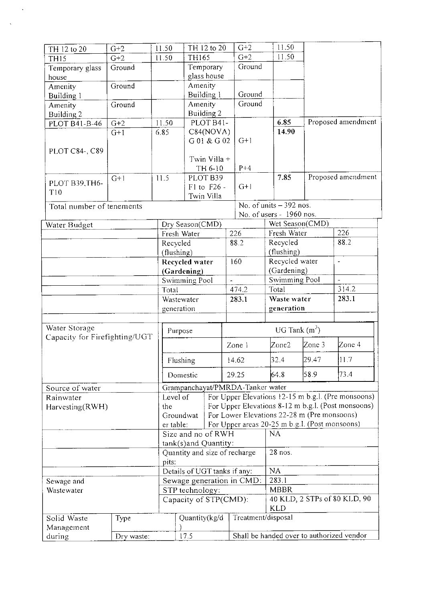| TH 12 to 20                   | $G+2$  | 11.50         |                 | TH 12 to 20                   | $G+2$                            | 11.50                                          |                          |                                                                                                          |  |
|-------------------------------|--------|---------------|-----------------|-------------------------------|----------------------------------|------------------------------------------------|--------------------------|----------------------------------------------------------------------------------------------------------|--|
| TH <sub>15</sub>              | $G+2$  | 11.50         | <b>TH165</b>    |                               | $G+2$                            | 11.50                                          |                          |                                                                                                          |  |
| Temporary glass               | Ground |               | Temporary       |                               | Ground                           |                                                |                          |                                                                                                          |  |
| house                         |        |               |                 | glass house                   |                                  |                                                |                          |                                                                                                          |  |
| Amenity                       | Ground |               | Amenity         |                               |                                  |                                                |                          |                                                                                                          |  |
| Building 1                    |        |               | Building l      |                               | Ground                           |                                                |                          |                                                                                                          |  |
| Amenity                       | Ground |               | Amenity         |                               | Ground                           |                                                |                          |                                                                                                          |  |
| Building 2                    |        |               | Building 2      |                               |                                  |                                                |                          |                                                                                                          |  |
| PLOT B41-B-46                 | $G+2$  | 11.50         |                 | PLOT B41-                     |                                  | 6.85                                           |                          | Proposed amendment                                                                                       |  |
|                               | $G+1$  | 6.85          |                 | C84(NOVA)                     |                                  | 14.90                                          |                          |                                                                                                          |  |
|                               |        |               |                 | G 01 & G 02                   | $G+1$                            |                                                |                          |                                                                                                          |  |
| PLOT C84-, C89                |        |               |                 |                               |                                  |                                                |                          |                                                                                                          |  |
|                               |        |               |                 | Twin Villa +                  |                                  |                                                |                          |                                                                                                          |  |
|                               |        |               |                 | TH 6-10                       | $P+4$                            |                                                |                          |                                                                                                          |  |
|                               | $G+1$  | 11.5          |                 | PLOT B39                      |                                  | 7.85                                           |                          | Proposed amendment                                                                                       |  |
| PLOT B39, TH6-                |        |               |                 | F1 to F26 -                   | $G+1$                            |                                                |                          |                                                                                                          |  |
| T10                           |        |               |                 | Twin Villa                    |                                  |                                                |                          |                                                                                                          |  |
| Total number of tenements     |        |               |                 |                               |                                  | No. of units $-392$ nos.                       |                          |                                                                                                          |  |
|                               |        |               |                 |                               |                                  |                                                | No. of users - 1960 nos. |                                                                                                          |  |
| Water Budget                  |        |               | Dry Season(CMD) |                               |                                  | Wet Season(CMD)                                |                          |                                                                                                          |  |
|                               |        |               | Fresh Water     |                               | 226                              | Fresh Water                                    |                          | 226                                                                                                      |  |
|                               |        | Recycled      |                 |                               | 88.2                             | Recycled                                       |                          | 88.2                                                                                                     |  |
|                               |        |               | (flushing)      |                               |                                  | (flushing)                                     |                          |                                                                                                          |  |
|                               |        |               | Recycled water  |                               | 160                              | Recycled water                                 |                          | $\overline{a}$                                                                                           |  |
|                               |        |               | (Gardening)     |                               | (Gardening)                      |                                                |                          |                                                                                                          |  |
|                               |        | Swimming Pool |                 | $\overline{a}$                | Swimming Pool                    |                                                | $\blacksquare$           |                                                                                                          |  |
|                               |        |               | Total           |                               | 474.2                            | Total                                          |                          | 314.2                                                                                                    |  |
|                               |        |               |                 |                               |                                  |                                                |                          |                                                                                                          |  |
|                               |        |               | Wastewater      |                               | 283.1                            | Waste water                                    |                          | 283.1                                                                                                    |  |
|                               |        |               | generation      |                               |                                  | generation                                     |                          |                                                                                                          |  |
|                               |        |               |                 |                               |                                  |                                                |                          |                                                                                                          |  |
| Water Storage                 |        |               |                 |                               |                                  |                                                |                          |                                                                                                          |  |
| Capacity for Firefighting/UGT |        |               | Purpose         |                               |                                  | UG Tank $(m^3)$                                |                          |                                                                                                          |  |
|                               |        |               |                 |                               | Zone 1                           | Zone2                                          | Zone 3                   | Zone 4                                                                                                   |  |
|                               |        |               |                 |                               |                                  |                                                |                          |                                                                                                          |  |
|                               |        |               | Flushing        |                               | 14.62                            | 32.4                                           | 29.47                    | II.7                                                                                                     |  |
|                               |        |               | Domestic        |                               | 29.25                            | 64.8                                           | 58.9                     | 73.4                                                                                                     |  |
| Source of water               |        |               |                 |                               | Grampanchayat/PMRDA-Tanker water |                                                |                          |                                                                                                          |  |
| Rainwater                     |        | Level of      |                 |                               |                                  |                                                |                          |                                                                                                          |  |
|                               |        | the           |                 |                               |                                  |                                                |                          | For Upper Elevations 12-15 m b.g.l. (Pre monsoons)<br>For Upper Elevations 8-12 m b.g.l. (Post monsoons) |  |
| Harvesting(RWH)               |        |               | Groundwat       |                               |                                  | For Lower Elevations 22-28 m (Pre monsoons)    |                          |                                                                                                          |  |
|                               |        | er table:     |                 |                               |                                  | For Upper areas 20-25 m b.g.l. (Post monsoons) |                          |                                                                                                          |  |
|                               |        |               |                 | Size and no of RWH            |                                  | NA                                             |                          |                                                                                                          |  |
|                               |        |               |                 | tank(s)and Quantity:          |                                  |                                                |                          |                                                                                                          |  |
|                               |        |               |                 | Quantity and size of recharge |                                  | 28 nos.                                        |                          |                                                                                                          |  |
|                               |        | pits:         |                 |                               |                                  |                                                |                          |                                                                                                          |  |
|                               |        |               |                 | Details of UGT tanks if any:  |                                  | NA                                             |                          |                                                                                                          |  |
| Sewage and                    |        |               |                 |                               | Sewage generation in CMD:        | 283.1                                          |                          |                                                                                                          |  |
| Wastewater                    |        |               | STP technology: |                               |                                  | <b>MBBR</b>                                    |                          |                                                                                                          |  |
|                               |        |               |                 | Capacity of STP(CMD):         |                                  |                                                |                          | 40 KLD, 2 STPs of 80 KLD, 90                                                                             |  |
|                               |        |               |                 |                               |                                  | <b>KLD</b>                                     |                          |                                                                                                          |  |
| Solid Waste                   | Type   |               | Quantity(kg/d   |                               | Treatment/disposal               |                                                |                          |                                                                                                          |  |
| Management                    |        |               | 17.5            |                               |                                  |                                                |                          | Shall be handed over to authorized vendor                                                                |  |

 $\ddot{\phantom{0}}$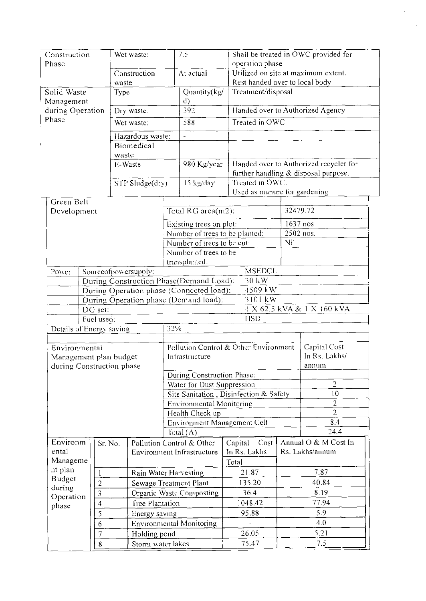| Construction                             |            |                             | Wet waste:       |                        |                                             | Shall be treated in OWC provided for<br>7.5 |                                  |                                                        |          |                                      |  |
|------------------------------------------|------------|-----------------------------|------------------|------------------------|---------------------------------------------|---------------------------------------------|----------------------------------|--------------------------------------------------------|----------|--------------------------------------|--|
| Phase                                    |            |                             | Construction     |                        |                                             |                                             |                                  | operation phase<br>Utilized on site at maximum extent. |          |                                      |  |
|                                          |            |                             | waste            |                        | At actual                                   |                                             |                                  | Rest handed over to local body                         |          |                                      |  |
| Solid Waste                              |            |                             | Type             |                        |                                             | Quantity(kg/<br>$\mathbf{d}$                |                                  | Treatment/disposal                                     |          |                                      |  |
| Management<br>during Operation           | Dry waste: |                             |                  |                        | 392                                         |                                             | Handed over to Authorized Agency |                                                        |          |                                      |  |
| Phase                                    |            |                             |                  | Wet waste:             | 588                                         |                                             |                                  | Treated in OWC                                         |          |                                      |  |
|                                          |            |                             |                  | Hazardous waste:       | $\overline{a}$                              |                                             |                                  |                                                        |          |                                      |  |
| Biomedical                               |            |                             |                  |                        |                                             |                                             |                                  |                                                        |          |                                      |  |
|                                          |            |                             | waste<br>E-Waste |                        |                                             | 980 Kg/year                                 |                                  | Handed over to Authorized recycler for                 |          |                                      |  |
|                                          |            |                             |                  |                        |                                             |                                             |                                  |                                                        |          | further handling & disposal purpose. |  |
|                                          |            |                             |                  | STP Sludge(dry)        |                                             | 15 kg/day                                   |                                  | Treated in OWC.                                        |          |                                      |  |
|                                          |            |                             |                  |                        |                                             |                                             |                                  | Used as manure for gardening                           |          |                                      |  |
| Green Belt                               |            |                             |                  |                        |                                             |                                             |                                  |                                                        | 32479.72 |                                      |  |
| Development                              |            |                             |                  |                        |                                             | Total RG area(m2):                          |                                  |                                                        |          |                                      |  |
|                                          |            |                             |                  |                        |                                             | Existing trees on plot:                     |                                  |                                                        | 1637 nos |                                      |  |
|                                          |            |                             |                  |                        |                                             | Number of trees to be planted:              |                                  |                                                        | Nil      | 2502 nos.                            |  |
|                                          |            |                             |                  |                        |                                             | Number of trees to be cut:                  |                                  |                                                        |          |                                      |  |
|                                          |            |                             |                  |                        | Number of trees to be<br>transplanted:      |                                             |                                  |                                                        |          |                                      |  |
| Power                                    |            |                             |                  | Sourceofpowersupply:   |                                             |                                             |                                  | <b>MSEDCL</b>                                          |          |                                      |  |
| During Construction Phase(Demand Load):  |            |                             |                  |                        |                                             | 30 kW                                       |                                  |                                                        |          |                                      |  |
| During Operation phase (Connected load): |            |                             |                  |                        |                                             | 4509 kW                                     |                                  |                                                        |          |                                      |  |
| During Operation phase (Demand load):    |            |                             |                  |                        |                                             | 3101 kW                                     |                                  |                                                        |          |                                      |  |
| DG set:                                  |            |                             |                  |                        |                                             |                                             |                                  | 4 X 62.5 kVA & 1 X 160 kVA                             |          |                                      |  |
|                                          |            | Fuel used:                  |                  |                        | 32%                                         |                                             |                                  | <b>HSD</b>                                             |          |                                      |  |
| Details of Energy saving                 |            |                             |                  |                        |                                             |                                             |                                  |                                                        |          |                                      |  |
| Environmental                            |            |                             |                  |                        | Pollution Control & Other Environment       |                                             |                                  |                                                        |          | Capital Cost                         |  |
| Management plan budget                   |            |                             |                  |                        |                                             | Infrastructure                              |                                  |                                                        |          | In Rs. Lakhs/                        |  |
| during Construction phase                |            |                             |                  |                        |                                             |                                             |                                  |                                                        |          | annum                                |  |
|                                          |            |                             |                  |                        | During Construction Phase:                  |                                             |                                  |                                                        |          |                                      |  |
|                                          |            |                             |                  |                        | Water for Dust Suppression                  |                                             |                                  |                                                        |          | $\overline{2}$                       |  |
|                                          |            |                             |                  |                        |                                             |                                             |                                  | Site Sanitation, Disinfection & Safety                 |          | 10 <sup>1</sup><br>$\overline{2}$    |  |
|                                          |            |                             |                  |                        | Environmental Monitoring<br>Health Check up |                                             |                                  |                                                        |          | $\overline{2}$                       |  |
|                                          |            | Environment Management Cell |                  |                        |                                             |                                             | 8.4                              |                                                        |          |                                      |  |
|                                          |            |                             |                  |                        | Total $(A)$                                 |                                             |                                  |                                                        |          | 24.4                                 |  |
| Environm                                 |            | Sr. No.                     |                  |                        |                                             | Pollution Control & Other                   |                                  | Capital<br>Cost                                        |          | Annual O & M Cost In                 |  |
| ental                                    |            |                             |                  |                        |                                             | Environment Infrastructure                  |                                  | In Rs. Lakhs<br>Rs. Lakhs/annum                        |          |                                      |  |
| Manageme                                 |            |                             |                  |                        |                                             |                                             | Total                            |                                                        |          |                                      |  |
| nt plan                                  |            | 1                           |                  | Rain Water Harvesting  |                                             |                                             |                                  | 21.87                                                  |          | 7.87                                 |  |
| <b>Budget</b><br>during                  |            | $\overline{2}$              |                  | Sewage Treatment Plant |                                             |                                             |                                  | 135.20                                                 |          | 40.84                                |  |
| Operation                                |            | 3                           |                  |                        | Organic Waste Composting                    |                                             |                                  | 36.4                                                   |          | 8.19                                 |  |
| phase                                    |            | 4                           |                  | Tree Plantation        |                                             |                                             |                                  | 1048.42                                                |          | 77.94                                |  |
|                                          |            | 5                           |                  | Energy saving          |                                             |                                             |                                  | 95.88                                                  |          | 5.9                                  |  |
|                                          |            | 6                           |                  |                        | <b>Environmental Monitoring</b>             |                                             |                                  |                                                        |          | 4.0                                  |  |
|                                          |            | 7                           |                  | Holding pond           |                                             |                                             |                                  | 26.05                                                  |          | 5.21                                 |  |
| $\bf 8$                                  |            |                             |                  | Storm water lakes      |                                             |                                             |                                  | 75.47                                                  | 7.5      |                                      |  |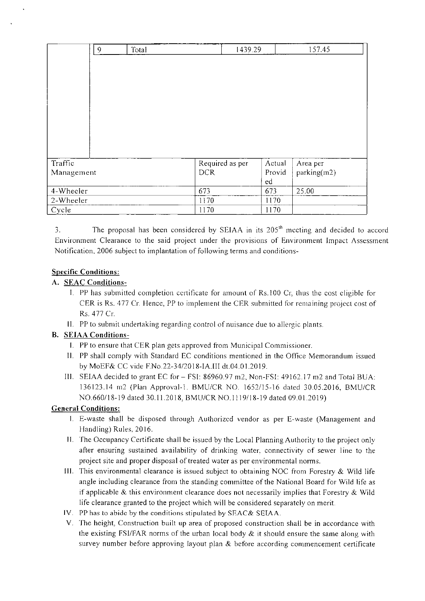|            | 9 | Total | 1439.29         |        | 157.45      |
|------------|---|-------|-----------------|--------|-------------|
|            |   |       |                 |        |             |
|            |   |       |                 |        |             |
|            |   |       |                 |        |             |
|            |   |       |                 |        |             |
|            |   |       |                 |        |             |
|            |   |       |                 |        |             |
|            |   |       |                 |        |             |
|            |   |       |                 |        |             |
|            |   |       |                 |        |             |
| Traffic    |   |       | Required as per | Actual | Area per    |
| Management |   |       | <b>DCR</b>      | Provid | parking(m2) |
|            |   |       |                 | ed     |             |
| 4-Wheeler  |   |       | 673             | 673    | 25.00       |
| 2-Wheeler  |   |       | 1170            | 1170   |             |
| Cycle      |   |       | 1170            | 1170   |             |

3. The proposal has been considered by SEIAA in its  $205<sup>th</sup>$  meeting and decided to accord Environment Clearance to the said project under the provisions of Environment Impact Assessment Notification. 2006 subject to implantation of following terms and conditions-

## Specific Conditions:

## A. SEAC Conditions-

- I. PP has submitted completion certificate for amount of Rs. 100 Cr, thus the cost eligible for CER is Rs. 477 Cr. Hence, PP to implement the CER submitted for remaining project cost of Rs. 477 Cr.
- II. PP to submit undertaking regarding control of nuisance due to allergic plants.

# B. SEJAA Conditions-

- I. PP to ensure that CER plan gets approved from Municipal Commissioner.
- II. PP shall comply with Standard EC conditions mentioned in the Office Memorandum issued by MoEF& CC vide F.No.22-34/2018-IA.1I1 dt.04.ol.2019.
- Ill. SEIAA decided to grant EC for FSI: 86960.97 m2, Non-FSI: 49162.17 m2 and Total BUA: 136123.14 m2 (Plan Approval-I. BMU/CR NO. 1652/15-16 dated 30.05.2016, BMU/CR NO.660/18-19 dated 30.11.2018, BMU/CRNO.I 119/18-19 dated 09.01.2019)

# General Conditions:

- I. E-waste shall be disposed through Authorized vendor as per E-waste (Management and Handling) Rules. 2016.
- II. 'fhe Occupancy Certificate shall be issued by the Local Planning Authority to the project only after ensuring sustained availability of drinking water, connectivity of sewer line to the project site and proper disposal of treated water as per environmental norms.
- Ill. This environmental clearance is issued subject to obtaining NOC from Forestry & Wild life angle including clearance from the standing committee of the National Board for Wild life as if applicable  $\&$  this environment clearance does not necessarily implies that Forestry  $\&$  Wild life clearance granted to the project which will be considered separately on merit.
- IV. PP has to abide by the conditions stipulated by SFAC& SEIAA.
- V. The height, Construction built up area of proposed construction shall be in accordance with the existing FSI/FAR norms of the urban local body & it should ensure the same along with survey number before approving layout plan & before according commencement certificate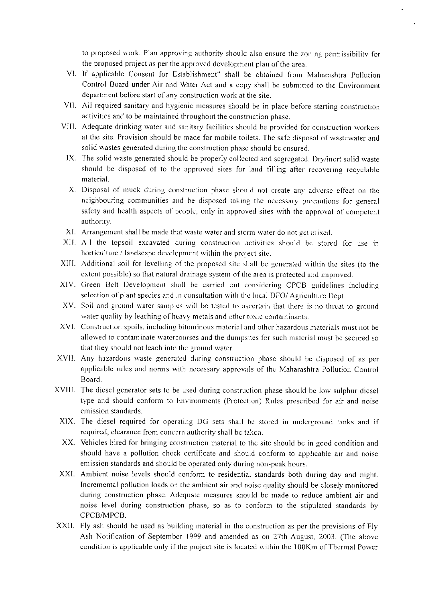to proposed work. Plan approving authority should also ensure the zoning permissibility for the proposed project as per the approved development plan of the area.

- VI. If applicable Consent for Establishment" shall be obtained from Maharashtra Pollution Control Board under Air and Water Act and a copy shall be submitted to the Environment department before start of any construction work at the site.
- VII. All required sanitary and hygienic measures should be in place before starting construction activities and to be maintained throughout the construction phase.
- VIII. Adequate drinking water and sanitary facilities should be provided for construction workers at the site. Provision should be made for mobile toilets. The safe disposal of wastewater and solid wastes generated during the construction phase should be ensured.
	- IX. The solid waste generated should be properly collected and segregated. Dry/inert solid waste should be disposed of to the approved sites for land tilling after recovering recyclable material
	- X. Disposal of muck during construction phase should not create any adverse effect on the neighbouring communities and he disposed taking the necessary precautions for general safety and health aspects of people, only in approved sites with the approval of competent authority.
- XI. Arrangement shall be made that waste water and storm water do not get mixed.
- XII. All the topsoil excavated during construction activities should be stored for use in horticulture / landscape development within the project site.
- XIII. Additional soil for levelling of the proposed site shall be generated within the sites (to the extent possible) so that natural drainage system of the area is protected and improved.
- XIV. Green Belt Development shall he carried out considering CPCB guidelines including selection of plant species and in consultation with the local DFO/ Agriculture Dept.
- XV. Soil and ground water samples will be tested to ascertain that there is no threat to ground water quality by leaching of hcavy metals and other toxic contaminants.
- XVI. Construction spoils, including bituminous material and other hazardous materials must not be allowed to contaminate watercourses and the dumpsites for such material must be secured so that they should not leach into the ground water,
- XVII. Any hazardous waste generated during construction phase should he disposed of as per applicable rules and norms with necessary approvals of the Maharashtra Pollution Control Board.
- XVIII. The diesel generator sets to be used during construction phase should be low sulphur diesel type and should conform to Environments (Protection) Rules prescribed for air and noise emission standards.
	- XIX. The diesel required for operating DC sets shall he stored in underground tanks and if required, clearance from concern authority shall be taken.
	- XX. Vehicles hired for bringing construction material to the site should be in good condition and should have a pollution check certificate and should conform to applicable air and noise emission standards and should he operated only during non-peak hours.
	- XXI. Ambient noise levels should conform to residential standards both during day and night. Incremental pollution loads on the ambient air and noise quality should be closely monitored during construction phase. Adequate measures should be made to reduce ambient air and noise level during construction phase, so as to conform to the stipulated standards by CPCB/MPCB.
- XXII. Fly ash should be used as building material in the construction as per the provisions of Fly Ash Notification of September 1999 and amended as on 27th August, 2003. (The above condition is applicable only if the project site is located within the 100Km of Thermal Power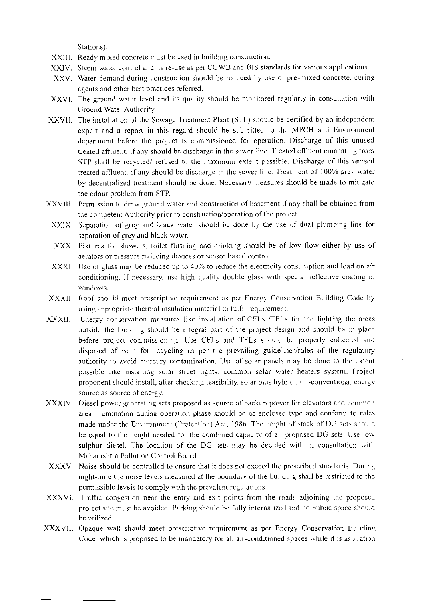Stations).

- XXIII. Ready mixed concrete must be used in building construction.
- XXIV. Storm water control and its re-use as per CGWB and BIS standards for various applications.
- XXV. Water demand during construction should be reduced by use of pre-mixed concrete, curing agents and other best practices referred.
- XXVI. The ground water level and its quality should be monitored regularly in consultation with Ground Water Authority.
- XXVII. The installation of the Sewage Treatment Plant (STP) should be certified by an independent expert and a report in this regard should be submitted to the MPCB and Environment department before the project is commissioned for operation. Discharge of this unused treated affluent, if any should be discharge in the sewer line. Treated efiluent emanating from STP shall be recycled/ refused to the maximum extent possible. Discharge of this unused treated affluent, if any should be discharge in the sewer line. Treatment of 100% grey water by decentralized treatment should he done. Necessary measures should be made to mitigate the odour problem from STR
- XXVIII. Permission to draw ground water and construction of basement if any shall be obtained from the competent Authority prior to construction/operation of the project.
- XXIX. Separation of grey and black water should be done by the use of dual plumbing line for separation of grey and black water.
- XXX. Fixtures for showers, toilet flushing and drinking should be of low flow either by use of aerators or pressure reducing devices or sensor based control.
- XXXI. Use of glass may be reduced up to 40% to reduce the electricity consumption and load on air conditioning. If necessary. use high quality double glass with special reflective coating in windows.
- XXXII. Roof should meet prescriptive requirement as per Energy Conservation Building Code by using appropriate thermal insulation material to fulfil requirement.
- XXXIII. Energy conservation measures like installation of CFLs /TFLs for the lighting the areas outside the building should be integral part of the project design and should be in place before project commissioning. Use CFLs and TFLs should be properly collected and disposed of /sent for recycling as per the prevailing guidelines/rules of the regulatory authority to avoid mercury contamination. Use of solar panels may be done to the extent possible like installing solar street lights, common solar water heaters system. Project proponent should install, after checking feasibility, solar plus hybrid non-conventional energy source as source of energy.
- XXXIV. Diesel power generating sets proposed as source of backup power for elevators and common area illumination during operation phase should be of enclosed type and conform to rules made under the Environment (Protection) Act, 1986. The height of stack of DG sets should be equal to the height needed for the combined capacity of all proposed DG sets. Use low sulphur diesel. The location of the DG sets may be decided with in consultation with Maharashtra Pollution Control Board.
- XXXV. Noise should be controlled to ensure that it does not exceed the prescribed standards. During night-time the noise levels measured at the boundary of the building shall be restricted to the permissible levels to comply with the prevalent regulations.
- XXXV1. Traffic congestion near the entry and exit points from the roads adjoining the proposed project site must be avoided. Parking should be fully internalized and no public space should be utilized.
- XXXVII. Opaque wall should meet prescriptive requirement as per Energy Conservation Building Code, which is proposed to be mandatory for all air-conditioned spaces while it is aspiration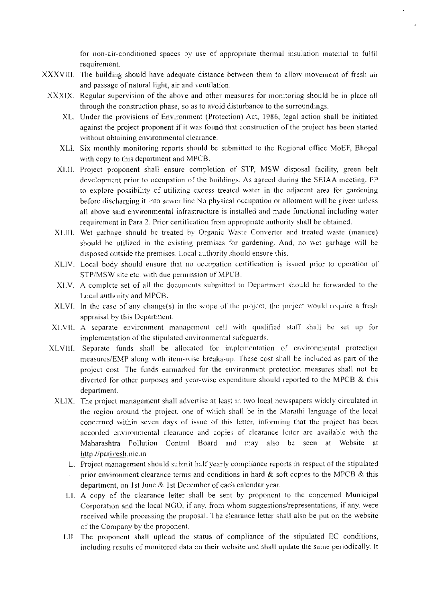for ion-air-conditioned spaces by use of appropriate thermal insulation material to fulfil requirement.

- XXXVIII. The building should have adequate distance between them to allow movement of fresh air and passage of natural light, air and ventilation.
	- XXXIX. Regular supervision of the above and other measures for monitoring should be in place all through the construction phase. soas to avoid disturbance to the surroundings.
		- XL. Under the provisions of Environment (Protection) Act, 1986, legal action shall be initiated against the project proponent if it was found that construction of the project has been started without obtaining environmental clearance.
		- XLI. Six monthly monitoring reports should be submitted to the Regional office MoEF, Bhopal with copy to this department and MPCB.
		- XLII. Project proponent shall ensure completion of STP, MSW disposal facility, green belt development prior to occupation of the buildings. As agreed during the SEIAA meeting. PP to explore possibility of utilizing excess treated water in the adjacent area for gardening before discharging it into sewer line No physical occupation or allotment will be given unless all above said environmental infrastructure is installed and made functional including water requirement in Para 2. Prior certification from appropriate authority shall be obtained.
		- XLIII. Wet garbage should he treated by Organic Waste Converter and treated waste (manure) should be utilized in the existing premises for gardening. And, no wet garbage will be disposed outside the premises. Local authority should ensure this.
		- XLIV. Local body should ensure that no occupation certification is issued prior to operation of STP/MSW site etc. with due permission of MPCB.
		- XLV. A complete set of all the documents submitted to Department should he forwarded to the Local authority and MPCB.
		- XLVI. In the case of any change(s) in the scope of the project, the project would require a fresh appraisal by this Department.
		- XLVIL A separate environment management cell with qualified staff shall he set up for implementation of the stipulated environmental safeguards.
	- XLVIII. Separate funds shall be allocated for implementation of environmental protection measures/EMP along with item-wise breaks-up. These cost shall be included as part of the project cost. The funds earmarked for the environment protection measures shall not be diverted for other purposes and year-wise expenditure should reported to the MPCB & this department.
		- XLIX. The project management shall advertise at least in two local newspapers widely circulated in the region around the project. one of which shall be in the Marathi language of the local concerned within seven days of issue of this letter, informing that the project has been accorded environmental clearance and copies of clearance letter are available with the Maharashtra Pollution Control Board arid may also be seen at Website at http://parivesh.nic.in
			- L. Project management should submit half yearly compliance reports in respect of the stipulated prior environment clearance terms and conditions in hard  $\&$  soft copies to the MPCB  $\&$  this department, on 1st June & 1st December of each calendar year.
			- LI. A copy of the clearance letter shall be sent by proponent to the concerned Municipal Corporation and the local NGO. if any. from whom suggestions/representations. if any. were received while processing the proposal. The clearance letter shall also be put on the website of the Company by the proponent.
			- LII. The proponent shall upload the status of compliance of the stipulated EC conditions, including results of monitored data on their website and shall update the same periodically. It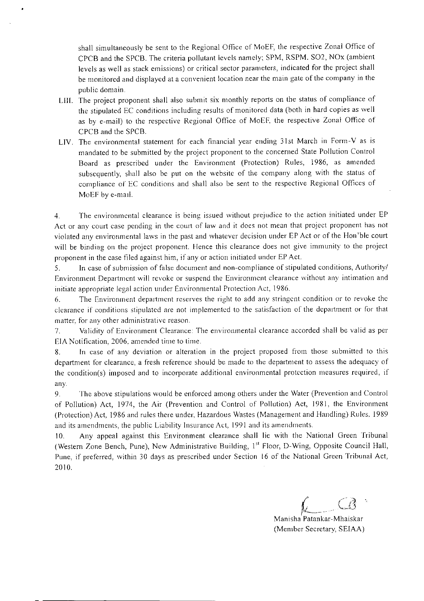shall simultaneously be sent to the Regional Office of MoEF, the respective Zonal Office of CPCB and the SPCB. The criteria pollutant levels namely; 5PM, RSPM. 502, NOx (ambient levels as well as stack emissions) or critical sector parameters, indicated for the project shall be monitored and displayed at a convenient location near the main gate of the company in the public domain.

- LIII. The project proponent shall also submit six monthly reports on the status of compliance of the stipulated EC conditions including results of monitored data (both in hard copies as well as by e-mail) to the respective Regional Office of MoEF, the respective Zonal Office of CPCB and the SPCB.
- LIV. The environmental statement for each financial year ending 31st March in Form-V as is mandated to be submitted by the project proponent to the concerned State Pollution Control Board as prescribed under the Environment (Protection) Rules, 1986, as amended subsequently, shall also be put on the website of the company along with the status of compliance of EC conditions and shall also be sent to the respective Regional Offices of MoEF by e-mail.

4. The environmental clearance is being issued without prejudice to the action initiated under EP Act or any court case pending in the court of law and it does not mean that project proponent has not violated any environmental laws in the past and whatever decision under EP Act or of the Hon'hle court will be binding on the project proponent. Hence this clearance does not give immunity to the project proponent in the case filed against him, if any or action initiated under EPAct.

5. In case of submission of false document and non-compliance of stipulated conditions, Authority/ Environment Department will revoke or suspend the Environment clearance without any intimation and initiate appropriate legal action under Environmental Protection Act, 1986.

6. The Environment department reserves the right to add any stringent condition or to revoke the clearance if conditions stipulated are not implemented to the satisfaction of the department or for that matter, for any other administrative reason.

7. Validity of Environment Clearance: The environmental clearance accorded shall be valid as per EIA Notification, 2006, amended time to time.

8. In case of any deviation or alteration in the project proposed from those submitted to this department for clearance, a fresh reference should be made to the department to assess the adequacy of the condition(s) imposed and to incorporate additional environmental protection measures required, if any.

9. The above stipulations would be enforced among others under the Water (Prevention and Control of Pollution) Act, 1974, the Air (Prevention and Control of Pollution) Act, 1981, the Environment (Protection) Act, 1986 and rules there under. Hazardous Wastes (Management and Handling) Rules. 1989 and its amendments, the public Liability Insurance Act. 1991 and its amendments.

10. Any appeal against this Environment clearance shall lie with the National Green Tribunal (Western Zone Bench, Pune), New Administrative Building, 1st Floor, D-Wing, Opposite Council Hall, Pune. if preferred, within 30 days as prescribed under Section 16 of the National Green Tribunal Act, 2010.

Manisha Patankar-Mhaiskar (Member Secretary, SEIAA)